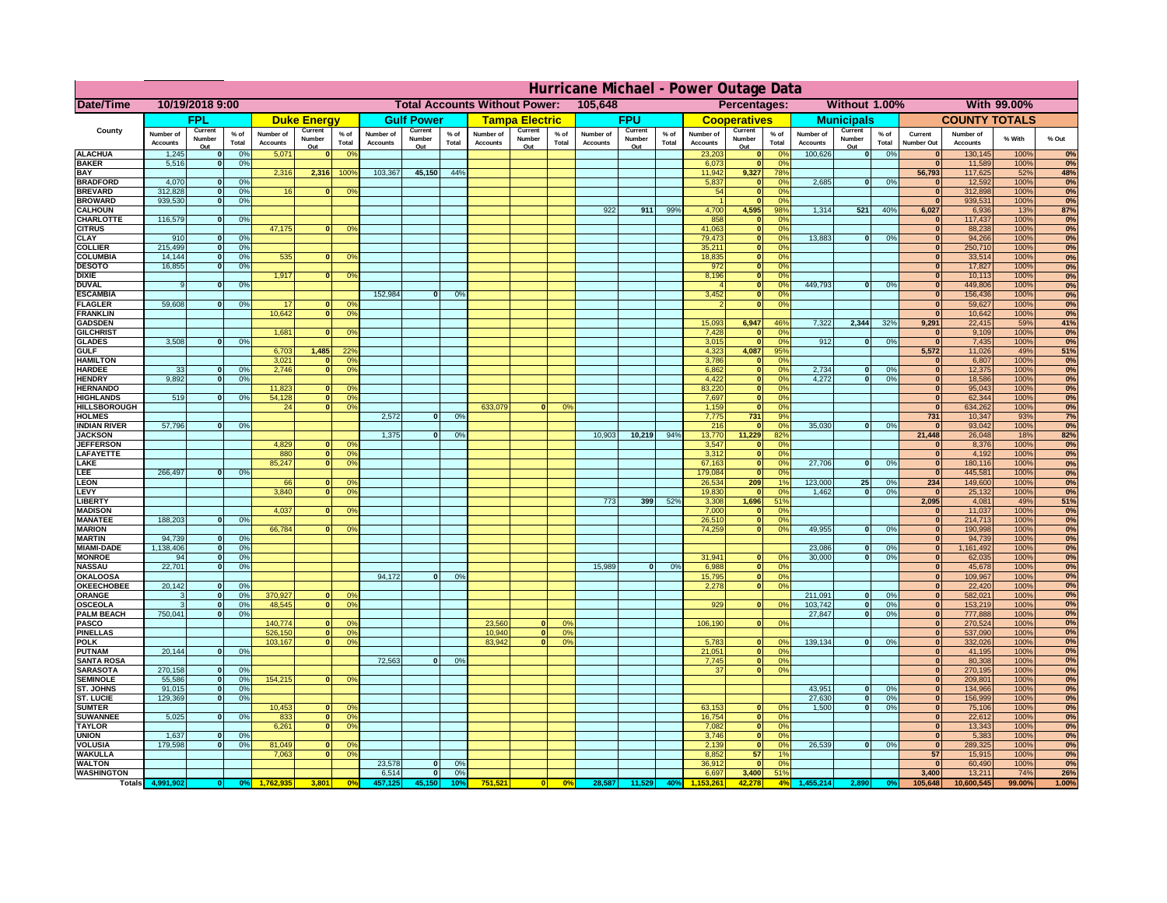|                                       | Hurricane Michael - Power Outage Data |                          |                 |                              |                          |                                  |                                                 |                          |                 |                              |                               |                |                              |                          |                 |                              |                                          |                                          |                              |                                |                 |                                |                              |              |                  |
|---------------------------------------|---------------------------------------|--------------------------|-----------------|------------------------------|--------------------------|----------------------------------|-------------------------------------------------|--------------------------|-----------------|------------------------------|-------------------------------|----------------|------------------------------|--------------------------|-----------------|------------------------------|------------------------------------------|------------------------------------------|------------------------------|--------------------------------|-----------------|--------------------------------|------------------------------|--------------|------------------|
| Date/Time                             | 10/19/2018 9:00                       |                          |                 |                              |                          |                                  | <b>Total Accounts Without Power:</b><br>105,648 |                          |                 |                              | Without 1.00%<br>Percentages: |                |                              |                          |                 |                              | With 99.00%                              |                                          |                              |                                |                 |                                |                              |              |                  |
|                                       |                                       | <b>FPL</b>               |                 |                              | <b>Duke Energy</b>       |                                  |                                                 | <b>Gulf Power</b>        |                 |                              | <b>Tampa Electric</b>         |                |                              | <b>FPU</b>               |                 |                              | <b>Cooperatives</b>                      |                                          |                              | <b>Municipals</b>              |                 |                                | <b>COUNTY TOTALS</b>         |              |                  |
| County                                | Number of<br><b>Accounts</b>          | Current<br>Number<br>Out | $%$ of<br>Total | Number of<br><b>Accounts</b> | Current<br>Number<br>Out | $%$ of<br>Total                  | Number of<br><b>Accounts</b>                    | Current<br>Number<br>Out | $%$ of<br>Total | Number of<br><b>Accounts</b> | Current<br>Number<br>Out      | % of<br>Total  | Number of<br><b>Accounts</b> | Current<br>Number<br>Out | $%$ of<br>Total | Number of<br><b>Accounts</b> | Current<br>Number<br>Out                 | $%$ of<br>Total                          | Number of<br><b>Accounts</b> | Current<br>Number<br>Out       | $%$ of<br>Total | Current<br><b>Number Out</b>   | Number of<br><b>Accounts</b> | % With       | % Out            |
| <b>ALACHUA</b>                        | 1,245                                 | $\mathbf 0$              | 0%              | 5,071                        |                          | 0 <sup>o</sup>                   |                                                 |                          |                 |                              |                               |                |                              |                          |                 | 23,203                       |                                          | 0%                                       | 100,626                      | 0                              | 0%              |                                | 130,145                      | 100%         | 0%               |
| <b>BAKER</b><br><b>BAY</b>            | 5,516                                 | $\mathbf 0$              | 0%              |                              | 2,316                    |                                  | 103,367                                         | 45,150                   | 44%             |                              |                               |                |                              |                          |                 | 6,073                        |                                          | 0%                                       |                              |                                |                 | $\mathbf{0}$<br>56,793         | 11,589<br>117,625            | 100%         | 0%               |
| <b>BRADFORD</b>                       | 4,070                                 | $\mathbf{0}$             | 0%              | 2,316                        |                          | 100%                             |                                                 |                          |                 |                              |                               |                |                              |                          |                 | 11,942<br>5,837              | 9,327<br>$\mathbf{0}$                    | 78 <sup>°</sup><br>$\Omega$ <sup>c</sup> | 2,685                        | 0                              | 0%              |                                | 12,592                       | 52%<br>100%  | 48%<br>0%        |
| <b>BREVARD</b>                        | 312,828                               | $\mathbf{0}$             | 0%              | 16                           |                          | 0 <sup>9</sup>                   |                                                 |                          |                 |                              |                               |                |                              |                          |                 | 54                           | $\mathbf{0}$                             | 0 <sup>9</sup>                           |                              |                                |                 | $\mathbf{0}$                   | 312,898                      | 100%         | 0%               |
| <b>BROWARD</b>                        | 939,530                               | $\mathbf{0}$             | 0%              |                              |                          |                                  |                                                 |                          |                 |                              |                               |                |                              |                          |                 |                              | $\mathbf{r}$                             | 0 <sup>9</sup>                           |                              |                                |                 | $\Omega$                       | 939,531                      | 100%         | 0%               |
| <b>CALHOUN</b><br><b>CHARLOTTE</b>    | 116,579                               | $\Omega$                 | 0%              |                              |                          |                                  |                                                 |                          |                 |                              |                               |                | 922                          | 911                      | 99%             | 4,700<br>858                 | 4,595<br>$\Omega$                        | 98%<br>$\Omega$ <sup>o</sup>             | 1,314                        | 521                            | 40%             | 6,027<br>$\bf{0}$              | 6,936<br>117,437             | 13%<br>100%  | <b>87%</b><br>0% |
| <b>CITRUS</b>                         |                                       |                          |                 | 47,175                       | $\Omega$                 | 0 <sup>9</sup>                   |                                                 |                          |                 |                              |                               |                |                              |                          |                 | 41,063                       | $\mathbf{0}$                             | 0 <sup>9</sup>                           |                              |                                |                 | $\mathbf{0}$                   | 88,238                       | 100%         | 0%               |
| <b>CLAY</b>                           | 910                                   | $\mathbf{o}$             | 0%              |                              |                          |                                  |                                                 |                          |                 |                              |                               |                |                              |                          |                 | 79,473                       | $\mathbf{0}$                             | 0%                                       | 13,883                       | 0                              | 0%              | $\mathbf{0}$                   | 94,266                       | 100%         | 0%               |
| <b>COLLIER</b><br><b>COLUMBIA</b>     | 215,499<br>14,144                     | 0 <br>$\mathbf{o}$       | 0%              | 535                          |                          | 0 <sup>9</sup>                   |                                                 |                          |                 |                              |                               |                |                              |                          |                 | 35,211<br>18,835             | $\mathbf{0}$<br>$\mathbf{0}$             | 0%<br>0%                                 |                              |                                |                 | $\mathbf{0}$<br>$\bf{0}$       | 250,710<br>33,514            | 100%<br>100% | 0%<br>0%         |
| <b>DESOTO</b>                         | 16,855                                | $\Omega$                 | 0%<br>0%        |                              |                          |                                  |                                                 |                          |                 |                              |                               |                |                              |                          |                 | 972                          | $\mathbf{0}$                             | 0%                                       |                              |                                |                 | $\overline{0}$                 | 17,827                       | 100%         | 0%               |
| <b>DIXIE</b>                          |                                       |                          |                 | 1,917                        | $\Omega$                 | 0 <sup>9</sup>                   |                                                 |                          |                 |                              |                               |                |                              |                          |                 | 8,196                        | $\overline{\phantom{a}}$                 | 0%                                       |                              |                                |                 | $\overline{0}$                 | 10,113                       | 100%         | 0%               |
| <b>DUVAL</b>                          | 9                                     | 0                        | 0%              |                              |                          |                                  |                                                 |                          |                 |                              |                               |                |                              |                          |                 |                              | $\overline{\mathbf{0}}$                  | 0%                                       | 449.793                      | $\overline{0}$                 | 0%              | $\overline{0}$                 | 449,806                      | 100%         | 0%               |
| <b>ESCAMBIA</b><br><b>FLAGLER</b>     | 59.608                                | $\Omega$                 | 0%              | 17                           |                          | $\mathbf{0}$<br>0 <sup>9</sup>   | 152.984                                         | $\Omega$                 | O <sup>o</sup>  |                              |                               |                |                              |                          |                 | 3,452                        | ō<br>$\overline{\mathbf{0}}$             | 0%<br>0%                                 |                              |                                |                 | $\overline{0}$<br>$\mathbf{0}$ | 156,436<br>59,627            | 100%<br>100% | 0%<br>0%         |
| <b>FRANKLIN</b>                       |                                       |                          |                 | 10.642                       |                          | 0 <br>0 <sup>9</sup>             |                                                 |                          |                 |                              |                               |                |                              |                          |                 |                              |                                          |                                          |                              |                                |                 | $\Omega$                       | 10,642                       | 100%         | 0%               |
| <b>GADSDEN</b>                        |                                       |                          |                 |                              |                          |                                  |                                                 |                          |                 |                              |                               |                |                              |                          |                 | 15.093                       | 6,947                                    | 46%                                      | 7.322                        | 2.344                          | 32%             | 9,291                          | 22,415                       | 59%          | 41%              |
| <b>GILCHRIST</b>                      |                                       |                          |                 | 1,681                        |                          | 0 <sup>9</sup>                   |                                                 |                          |                 |                              |                               |                |                              |                          |                 | 7,428                        |                                          | 0 <sup>9</sup>                           |                              |                                |                 | $\mathbf{0}$<br>$\mathbf{0}$   | 9,109                        | 100%         | 0%               |
| <b>GLADES</b><br><b>GULF</b>          | 3,508                                 | $\mathbf{0}$             | 0%              | 6,703                        | 1,485                    | 22 <sup>o</sup>                  |                                                 |                          |                 |                              |                               |                |                              |                          |                 | 3,015<br>4,323               | $\mathbf{0}$<br>4,087                    | 0 <sup>9</sup><br>95%                    | 912                          | $\bf{0}$                       | 0%              | 5,572                          | 7,435<br>11,026              | 100%<br>49%  | 0%<br>51%        |
| <b>HAMILTON</b>                       |                                       |                          |                 | 3,021                        | $\mathbf{0}$             | 0 <sup>9</sup>                   |                                                 |                          |                 |                              |                               |                |                              |                          |                 | 3,786                        | $\mathbf{0}$                             | 0%                                       |                              |                                |                 | $\mathbf{0}$                   | 6,807                        | 100%         | 0%               |
| <b>HARDEE</b>                         | 33                                    | $\bf{0}$                 | 0%              | 2,746                        |                          | 0 <br>0 <sup>9</sup>             |                                                 |                          |                 |                              |                               |                |                              |                          |                 | 6,862                        | $\mathbf{0}$                             | 0%                                       | 2,734                        | $\mathbf{0}$                   | 0%              | $\overline{0}$                 | 12,375                       | 100%         | 0%               |
| <b>HENDRY</b><br><b>HERNANDO</b>      | 9.892                                 | 0                        | 0%              | 11,823                       | $\bf{0}$                 | 0 <sup>9</sup>                   |                                                 |                          |                 |                              |                               |                |                              |                          |                 | 4,422<br>83,220              | $\overline{\phantom{a}}$<br>$\mathbf{0}$ | 0%<br>0%                                 | 4,272                        | $\overline{0}$                 | 0%              | 0 <br>$\overline{0}$           | 18,586<br>95,043             | 100%<br>100% | 0%<br>0%         |
| <b>HIGHLANDS</b>                      | 519                                   | $\Omega$                 | 0%              | 54,128                       |                          | 0 <br>0 <sup>9</sup>             |                                                 |                          |                 |                              |                               |                |                              |                          |                 | 7,697                        | $\overline{0}$                           | 0%                                       |                              |                                |                 | $\bf{0}$                       | 62,344                       | 100%         | 0%               |
| <b>HILLSBOROUGH</b>                   |                                       |                          |                 | 24                           | 0                        | 0%                               |                                                 |                          |                 | 633,079                      | nl                            | 0 <sup>o</sup> |                              |                          |                 | 1,159                        | $\mathbf{0}$                             | 0%                                       |                              |                                |                 | $\mathbf{0}$                   | 634,262                      | 100%         | 0%               |
| <b>HOLMES</b>                         |                                       |                          |                 |                              |                          |                                  | 2,572                                           | $\bf{0}$                 | 0%              |                              |                               |                |                              |                          |                 | 7,775                        | 731                                      | 9%                                       |                              |                                |                 | 731                            | 10,347                       | 93%          | 7%               |
| <b>INDIAN RIVER</b><br><b>JACKSON</b> | 57,796                                | $\Omega$                 | 0%              |                              |                          |                                  | 1,375                                           | $\Omega$                 | 0 <sup>9</sup>  |                              |                               |                | 10,903                       | 10,219                   | 94%             | 216<br>13,770                | 11,229                                   | 0 <sup>9</sup><br>82%                    | 35,030                       | $\Omega$                       | 0%              | $\mathbf{0}$<br>21,448         | 93,042<br>26,048             | 100%<br>18%  | 0%<br>82%        |
| <b>JEFFERSON</b>                      |                                       |                          |                 | 4,829                        | $\mathbf{0}$             | 0 <sup>9</sup>                   |                                                 |                          |                 |                              |                               |                |                              |                          |                 | 3,547                        |                                          | 0 <sup>9</sup>                           |                              |                                |                 | $\mathbf{0}$                   | 8,376                        | 100%         | 0%               |
| LAFAYETTE                             |                                       |                          |                 | 880                          |                          | 0 <br>0 <sup>9</sup>             |                                                 |                          |                 |                              |                               |                |                              |                          |                 | 3,312                        |                                          | 0 <sup>9</sup>                           |                              |                                |                 | $\mathbf{0}$                   | 4,192                        | 100%         | 0%               |
| LAKE<br>LEE                           | 266,497                               | 0                        | 0%              | 85,247                       | $\Omega$                 | 0 <sup>9</sup>                   |                                                 |                          |                 |                              |                               |                |                              |                          |                 | 67,163<br>179,084            | $\mathbf{0}$<br>$\mathbf{0}$             | 0 <sup>9</sup><br>0 <sup>9</sup>         | 27,706                       | $\mathbf{0}$                   | 0%              | 0 <br>$\mathbf{0}$             | 180,116                      | 100%<br>100% | 0%<br>0%         |
| <b>LEON</b>                           |                                       |                          |                 | 66                           |                          | $^{\circ}$                       |                                                 |                          |                 |                              |                               |                |                              |                          |                 | 26,534                       | 209                                      | 19                                       | 123,000                      | 25                             | 0%              | 234                            | 445,581<br>149,600           | 100%         | 0%               |
| LEVY                                  |                                       |                          |                 | 3,840                        | $\Omega$                 | 0 <sup>9</sup>                   |                                                 |                          |                 |                              |                               |                |                              |                          |                 | 19,830                       | $\Omega$                                 | 0 <sup>9</sup>                           | 1,462                        | $\mathbf{0}$                   | 0%              | $\mathbf{0}$                   | 25,132                       | 100%         | 0%               |
| <b>LIBERT</b>                         |                                       |                          |                 |                              |                          |                                  |                                                 |                          |                 |                              |                               |                | 773                          | 399                      | 52%             | 3,308                        | 1,696                                    | 51%                                      |                              |                                |                 | 2,095                          | 4,081                        | 49%          | 51%              |
| <b>MADISON</b><br><b>MANATEE</b>      | 188,203                               | 0                        | 0%              | 4,037                        |                          | 0 <sup>9</sup>                   |                                                 |                          |                 |                              |                               |                |                              |                          |                 | 7,000<br>26,510              | $\mathbf{0}$                             | 0%<br>0%                                 |                              |                                |                 | $\bf{0}$<br>$\bf{0}$           | 11,037<br>214,713            | 100%<br>100% | 0%<br>0%         |
| <b>MARION</b>                         |                                       |                          |                 | 66,784                       |                          | 0 <sup>9</sup>                   |                                                 |                          |                 |                              |                               |                |                              |                          |                 | 74,259                       | $\mathbf{0}$                             | 0 <sup>9</sup>                           | 49,955                       | $\Omega$                       | 0%              | 0                              | 190,998                      | 100%         | 0%               |
| <b>MARTIN</b>                         | 94,739                                | 0                        | 0%              |                              |                          |                                  |                                                 |                          |                 |                              |                               |                |                              |                          |                 |                              |                                          |                                          |                              |                                |                 | 0                              | 94,739                       | 100%         | 0%               |
| <b>MIAMI-DADE</b>                     | 1,138,406                             | 0                        | 0%              |                              |                          |                                  |                                                 |                          |                 |                              |                               |                |                              |                          |                 |                              |                                          | $\Omega$ <sup>o</sup>                    | 23,086                       | 0                              | 0%              | 0                              | 1,161,492                    | 100%         | 0%<br>0%         |
| <b>MONROE</b><br><b>NASSAU</b>        | 94<br>22,701                          | 0 <br> 0                 | 0%<br>0%        |                              |                          |                                  |                                                 |                          |                 |                              |                               |                | 15,989                       | 0                        | 0%              | 31,941<br>6,988              | $\mathbf{0}$<br> 0                       | 0%                                       | 30,000                       | $\Omega$                       | 0%              | 0 <br>$\mathbf{0}$             | 62,035<br>45,678             | 100%<br>100% | 0%               |
| <b>OKALOOSA</b>                       |                                       |                          |                 |                              |                          |                                  | 94,172                                          | $\mathbf{0}$             | 0%              |                              |                               |                |                              |                          |                 | 15,795                       | 0                                        | 0%                                       |                              |                                |                 | $\mathbf{0}$                   | 109,967                      | 100%         | 0%               |
| <b>OKEECHOBEE</b>                     | 20,142                                | $\Omega$                 | 0%              |                              |                          |                                  |                                                 |                          |                 |                              |                               |                |                              |                          |                 | 2,278                        | 0                                        | 0%                                       |                              |                                |                 | $\mathbf{0}$                   | 22,420                       | 100%         | 0%               |
| <b>ORANGE</b><br><b>OSCEOLA</b>       | 3                                     | 0 <br> 0                 | 0%<br>0%        | 370,927<br>48,545            | $\mathbf{0}$<br>$\Omega$ | 0 <sup>o</sup><br>0 <sup>9</sup> |                                                 |                          |                 |                              |                               |                |                              |                          |                 | 929                          | ol                                       | 0 <sup>9</sup>                           | 211,091<br>103,742           | $\mathbf{0}$<br>$\overline{0}$ | 0%<br>0%        | $\mathbf{0}$<br> 0             | 582,021<br>153,219           | 100%<br>100% | 0%<br>0%         |
| <b>PALM BEACH</b>                     | 750,041                               | 0                        | 0%              |                              |                          |                                  |                                                 |                          |                 |                              |                               |                |                              |                          |                 |                              |                                          |                                          | 27,847                       | $\Omega$                       | 0%              | $\mathbf{0}$                   | 777,888                      | 100%         | 0%               |
| PASCO                                 |                                       |                          |                 | 140,774                      | $\Omega$                 | 0 <sup>9</sup>                   |                                                 |                          |                 | 23,560                       | $\mathbf{0}$                  | 0 <sup>9</sup> |                              |                          |                 | 106,190                      | 0                                        | 0 <sup>9</sup>                           |                              |                                |                 | $\Omega$                       | 270,524                      | 100%         | 0%               |
| <b>PINELLAS</b>                       |                                       |                          |                 | 526,150<br>103,167           | $\mathbf{0}$             | 0 <sup>9</sup><br> 0             |                                                 |                          |                 | 10,940                       | 0 <br>$\overline{0}$          | 0%<br>0%       |                              |                          |                 |                              |                                          | 0 <sup>9</sup>                           | 139,134                      | 0                              | 0%              | $\mathbf{0}$                   | 537,090                      | 100%         | 0%               |
| <b>POLK</b><br><b>PUTNAM</b>          | 20,144                                | 0                        | 0%              |                              |                          | 0 <sup>9</sup>                   |                                                 |                          |                 | 83,942                       |                               |                |                              |                          |                 | 5,783<br>21,051              | $\mathbf{0}$<br>$\mathbf{0}$             | 0 <sup>9</sup>                           |                              |                                |                 | $\mathbf{0}$<br>$\mathbf{0}$   | 332,026<br>41,195            | 100%<br>100% | 0%<br>0%         |
| <b>SANTA ROSA</b>                     |                                       |                          |                 |                              |                          |                                  | 72,563                                          | 0                        | 0%              |                              |                               |                |                              |                          |                 | 7,745                        | -ol                                      | 0%                                       |                              |                                |                 | $\mathbf{0}$                   | 80,308                       | 100%         | 0%               |
| <b>SARASOTA</b>                       | 270,158                               | 0                        | 0%              |                              |                          |                                  |                                                 |                          |                 |                              |                               |                |                              |                          |                 | 37                           | $\overline{0}$                           | 0%                                       |                              |                                |                 | $\mathbf{0}$                   | 270,195                      | 100%         | 0%               |
| <b>SEMINOLE</b><br>ST. JOHNS          | 55,586<br>91,015                      | 0<br> 0                  | 0%<br>0%        | 154,215                      |                          | 0 <sup>9</sup><br>$\mathbf{0}$   |                                                 |                          |                 |                              |                               |                |                              |                          |                 |                              |                                          |                                          | 43.951                       | $\overline{0}$                 | 0%              | $\mathbf{0}$<br> 0             | 209.801<br>134,966           | 100%<br>100% | 0%<br>0%         |
| <b>ST. LUCIE</b>                      | 129.369                               | $\mathbf{0}$             | 0%              |                              |                          |                                  |                                                 |                          |                 |                              |                               |                |                              |                          |                 |                              |                                          |                                          | 27.630                       | $\overline{0}$                 | 0%              | $\mathbf{0}$                   | 156.999                      | 100%         | 0%               |
| <b>SUMTER</b>                         |                                       |                          |                 | 10,453                       | $\mathbf{0}$             | 0 <sup>9</sup>                   |                                                 |                          |                 |                              |                               |                |                              |                          |                 | 63,153                       | $\mathbf{0}$                             | $\Omega$ <sup>c</sup>                    | 1,500                        | 0                              | 0%              | $\mathbf{0}$                   | 75,106                       | 100%         | 0%               |
| <b>SUWANNEE</b>                       | 5,025                                 | $\Omega$                 | 0%              | 833                          |                          | 0 <br>0 <sup>9</sup>             |                                                 |                          |                 |                              |                               |                |                              |                          |                 | 16,754                       | $\mathbf{0}$                             | 0 <sup>9</sup>                           |                              |                                |                 | $\mathbf{0}$                   | 22,612                       | 100%         | 0%               |
| <b>TAYLOR</b><br><b>UNION</b>         | 1,637                                 | $\mathbf{0}$             | 0%              | 6,261                        |                          | 0 <br>0 <sup>9</sup>             |                                                 |                          |                 |                              |                               |                |                              |                          |                 | 7,082<br>3,746               | $\mathbf{0}$<br>$\mathbf{0}$             | 0%<br>0 <sup>9</sup>                     |                              |                                |                 | $\mathbf{0}$<br>$\mathbf{0}$   | 13,343<br>5,383              | 100%<br>100% | 0%<br>0%         |
| <b>VOLUSIA</b>                        | 179,598                               | $\mathbf{0}$             | 0%              | 81,049                       |                          | 0 <sup>9</sup>                   |                                                 |                          |                 |                              |                               |                |                              |                          |                 | 2,139                        | $\mathbf{0}$                             | 0 <sup>9</sup>                           | 26,539                       | 0                              | 0%              | $\mathbf{0}$                   | 289,325                      | 100%         | 0%               |
| <b>WAKULLA</b>                        |                                       |                          |                 | 7,063                        | $\bf{0}$                 | 0 <sup>9</sup>                   |                                                 |                          |                 |                              |                               |                |                              |                          |                 | 8,852                        | 57                                       | 1 <sub>9</sub>                           |                              |                                |                 | 57                             | 15,915                       | 100%         | 0%               |
| <b>WALTON</b><br><b>WASHINGTON</b>    |                                       |                          |                 |                              |                          |                                  | 23,578<br>6,514                                 | $\mathbf{0}$<br> 0       | 0%<br>0%        |                              |                               |                |                              |                          |                 | 36,912<br>6,697              | $\mathbf{0}$<br>3,400                    | 0 <sup>9</sup><br>51%                    |                              |                                |                 | $\mathbf{0}$<br>3,400          | 60,490<br>13,211             | 100%<br>74%  | 0%<br>26%        |
| <b>Totals</b>                         |                                       |                          |                 |                              | 3,801                    |                                  |                                                 | 45,150                   | 10°             | 751,52                       |                               | 0%             | 28,587                       | 11,529                   | 40°             |                              | 42.278                                   | 4%                                       |                              |                                |                 | 105,648                        | 10,600,545                   | 99.00%       | 1.00%            |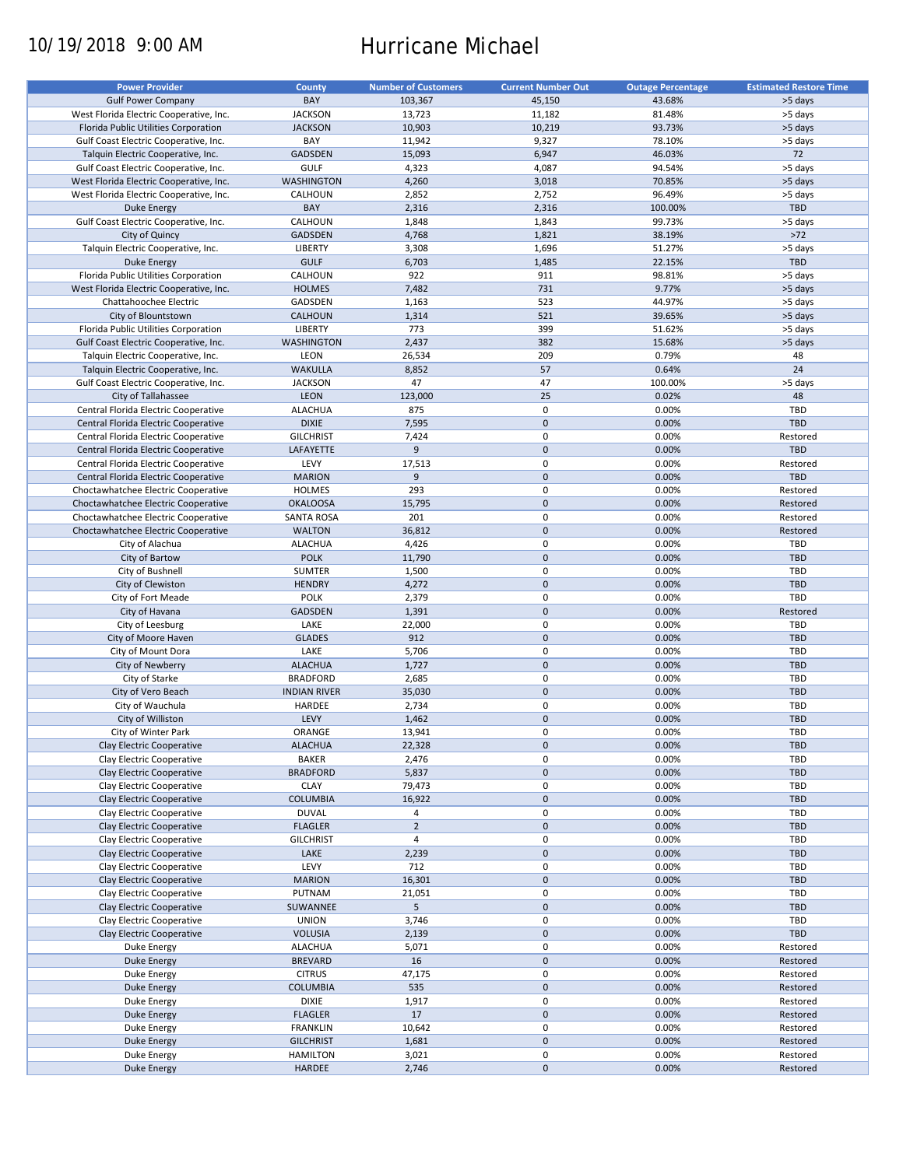# 10/19/2018 9:00 AM Hurricane Michael

| <b>Power Provider</b>                   | <b>County</b>       | <b>Number of Customers</b> | <b>Current Number Out</b> | <b>Outage Percentage</b> | <b>Estimated Restore Time</b> |
|-----------------------------------------|---------------------|----------------------------|---------------------------|--------------------------|-------------------------------|
|                                         |                     |                            |                           |                          |                               |
| <b>Gulf Power Company</b>               | BAY                 | 103,367                    | 45,150                    | 43.68%                   | >5 days                       |
| West Florida Electric Cooperative, Inc. | <b>JACKSON</b>      | 13,723                     | 11,182                    | 81.48%                   | >5 days                       |
| Florida Public Utilities Corporation    | <b>JACKSON</b>      | 10,903                     | 10,219                    | 93.73%                   | >5 days                       |
| Gulf Coast Electric Cooperative, Inc.   | BAY                 | 11,942                     | 9,327                     | 78.10%                   | >5 days                       |
| Talquin Electric Cooperative, Inc.      | GADSDEN             | 15,093                     | 6,947                     | 46.03%                   | 72                            |
| Gulf Coast Electric Cooperative, Inc.   | <b>GULF</b>         | 4,323                      | 4,087                     | 94.54%                   | >5 days                       |
|                                         |                     |                            |                           |                          |                               |
| West Florida Electric Cooperative, Inc. | <b>WASHINGTON</b>   | 4,260                      | 3,018                     | 70.85%                   | >5 days                       |
| West Florida Electric Cooperative, Inc. | CALHOUN             | 2,852                      | 2,752                     | 96.49%                   | >5 days                       |
| <b>Duke Energy</b>                      | BAY                 | 2,316                      | 2,316                     | 100.00%                  | <b>TBD</b>                    |
| Gulf Coast Electric Cooperative, Inc.   | CALHOUN             | 1,848                      | 1,843                     | 99.73%                   | >5 days                       |
| City of Quincy                          | <b>GADSDEN</b>      | 4,768                      | 1,821                     | 38.19%                   | $>72$                         |
| Talquin Electric Cooperative, Inc.      | LIBERTY             | 3,308                      | 1,696                     | 51.27%                   | >5 days                       |
| <b>Duke Energy</b>                      | <b>GULF</b>         | 6,703                      | 1,485                     | 22.15%                   | TBD                           |
|                                         |                     |                            |                           |                          |                               |
| Florida Public Utilities Corporation    | CALHOUN             | 922                        | 911                       | 98.81%                   | >5 days                       |
| West Florida Electric Cooperative, Inc. | <b>HOLMES</b>       | 7,482                      | 731                       | 9.77%                    | >5 days                       |
| Chattahoochee Electric                  | GADSDEN             | 1,163                      | 523                       | 44.97%                   | >5 days                       |
| City of Blountstown                     | CALHOUN             | 1,314                      | 521                       | 39.65%                   | >5 days                       |
| Florida Public Utilities Corporation    | LIBERTY             | 773                        | 399                       | 51.62%                   | >5 days                       |
| Gulf Coast Electric Cooperative, Inc.   | <b>WASHINGTON</b>   | 2,437                      | 382                       | 15.68%                   | >5 days                       |
|                                         |                     |                            |                           |                          |                               |
| Talquin Electric Cooperative, Inc.      | LEON                | 26,534                     | 209                       | 0.79%                    | 48                            |
| Talquin Electric Cooperative, Inc.      | <b>WAKULLA</b>      | 8,852                      | 57                        | 0.64%                    | 24                            |
| Gulf Coast Electric Cooperative, Inc.   | <b>JACKSON</b>      | 47                         | 47                        | 100.00%                  | >5 days                       |
| City of Tallahassee                     | <b>LEON</b>         | 123,000                    | 25                        | 0.02%                    | 48                            |
| Central Florida Electric Cooperative    | <b>ALACHUA</b>      | 875                        | $\pmb{0}$                 | 0.00%                    | TBD                           |
| Central Florida Electric Cooperative    | <b>DIXIE</b>        | 7,595                      | $\pmb{0}$                 | 0.00%                    | <b>TBD</b>                    |
|                                         |                     |                            |                           |                          |                               |
| Central Florida Electric Cooperative    | <b>GILCHRIST</b>    | 7,424                      | $\mathbf 0$               | 0.00%                    | Restored                      |
| Central Florida Electric Cooperative    | LAFAYETTE           | 9                          | $\pmb{0}$                 | 0.00%                    | <b>TBD</b>                    |
| Central Florida Electric Cooperative    | LEVY                | 17,513                     | 0                         | 0.00%                    | Restored                      |
| Central Florida Electric Cooperative    | <b>MARION</b>       | 9                          | $\pmb{0}$                 | 0.00%                    | <b>TBD</b>                    |
| Choctawhatchee Electric Cooperative     | <b>HOLMES</b>       | 293                        | $\mathbf 0$               | 0.00%                    | Restored                      |
| Choctawhatchee Electric Cooperative     | <b>OKALOOSA</b>     | 15,795                     | $\mathbf 0$               | 0.00%                    | Restored                      |
|                                         |                     |                            |                           |                          |                               |
| Choctawhatchee Electric Cooperative     | SANTA ROSA          | 201                        | 0                         | 0.00%                    | Restored                      |
| Choctawhatchee Electric Cooperative     | <b>WALTON</b>       | 36,812                     | $\mathbf 0$               | 0.00%                    | Restored                      |
| City of Alachua                         | <b>ALACHUA</b>      | 4,426                      | 0                         | 0.00%                    | TBD                           |
| City of Bartow                          | <b>POLK</b>         | 11,790                     | $\mathbf 0$               | 0.00%                    | <b>TBD</b>                    |
| City of Bushnell                        | <b>SUMTER</b>       | 1,500                      | 0                         | 0.00%                    | TBD                           |
| City of Clewiston                       | <b>HENDRY</b>       | 4,272                      | $\mathbf 0$               | 0.00%                    | <b>TBD</b>                    |
|                                         |                     |                            |                           |                          |                               |
| City of Fort Meade                      | <b>POLK</b>         | 2,379                      | $\pmb{0}$                 | 0.00%                    | TBD                           |
| City of Havana                          | <b>GADSDEN</b>      | 1,391                      | $\mathbf 0$               | 0.00%                    | Restored                      |
| City of Leesburg                        | LAKE                | 22,000                     | $\pmb{0}$                 | 0.00%                    | TBD                           |
| City of Moore Haven                     | <b>GLADES</b>       | 912                        | $\mathbf 0$               | 0.00%                    | <b>TBD</b>                    |
| City of Mount Dora                      | LAKE                | 5,706                      | 0                         | 0.00%                    | TBD                           |
| City of Newberry                        | <b>ALACHUA</b>      | 1,727                      | $\pmb{0}$                 | 0.00%                    | <b>TBD</b>                    |
| City of Starke                          | <b>BRADFORD</b>     | 2,685                      | 0                         | 0.00%                    | TBD                           |
|                                         |                     |                            | $\pmb{0}$                 |                          | <b>TBD</b>                    |
| City of Vero Beach                      | <b>INDIAN RIVER</b> | 35,030                     |                           | 0.00%                    |                               |
| City of Wauchula                        | HARDEE              | 2,734                      | 0                         | 0.00%                    | <b>TBD</b>                    |
| City of Williston                       | LEVY                | 1,462                      | $\pmb{0}$                 | 0.00%                    | <b>TBD</b>                    |
| City of Winter Park                     | ORANGE              | 13,941                     | $\mathbf 0$               | 0.00%                    | TBD                           |
| Clay Electric Cooperative               | <b>ALACHUA</b>      | 22,328                     | $\pmb{0}$                 | 0.00%                    | TBD                           |
| Clay Electric Cooperative               | <b>BAKER</b>        | 2,476                      | 0                         | 0.00%                    | TBD                           |
| Clay Electric Cooperative               | <b>BRADFORD</b>     | 5,837                      | $\pmb{0}$                 | 0.00%                    | <b>TBD</b>                    |
|                                         |                     |                            |                           |                          |                               |
| Clay Electric Cooperative               | <b>CLAY</b>         | 79,473                     | 0                         | 0.00%                    | TBD                           |
| Clay Electric Cooperative               | <b>COLUMBIA</b>     | 16,922                     | $\pmb{0}$                 | 0.00%                    | TBD                           |
| Clay Electric Cooperative               | <b>DUVAL</b>        | 4                          | 0                         | 0.00%                    | TBD                           |
| Clay Electric Cooperative               | <b>FLAGLER</b>      | $\overline{2}$             | $\pmb{0}$                 | 0.00%                    | TBD                           |
| Clay Electric Cooperative               | <b>GILCHRIST</b>    | 4                          | 0                         | 0.00%                    | TBD                           |
| Clay Electric Cooperative               | LAKE                | 2,239                      | 0                         | 0.00%                    | <b>TBD</b>                    |
| Clay Electric Cooperative               | LEVY                | 712                        | 0                         | 0.00%                    | TBD                           |
|                                         |                     |                            |                           |                          |                               |
| Clay Electric Cooperative               | <b>MARION</b>       | 16,301                     | $\pmb{0}$                 | 0.00%                    | <b>TBD</b>                    |
| Clay Electric Cooperative               | PUTNAM              | 21,051                     | 0                         | 0.00%                    | TBD                           |
| Clay Electric Cooperative               | SUWANNEE            | 5                          | $\pmb{0}$                 | 0.00%                    | <b>TBD</b>                    |
| Clay Electric Cooperative               | <b>UNION</b>        | 3,746                      | 0                         | 0.00%                    | TBD                           |
| Clay Electric Cooperative               | <b>VOLUSIA</b>      | 2,139                      | $\pmb{0}$                 | 0.00%                    | TBD                           |
| Duke Energy                             | <b>ALACHUA</b>      | 5,071                      | 0                         | 0.00%                    | Restored                      |
|                                         |                     |                            | $\pmb{0}$                 |                          |                               |
| Duke Energy                             | <b>BREVARD</b>      | 16                         |                           | 0.00%                    | Restored                      |
| Duke Energy                             | <b>CITRUS</b>       | 47,175                     | 0                         | 0.00%                    | Restored                      |
| Duke Energy                             | <b>COLUMBIA</b>     | 535                        | $\pmb{0}$                 | 0.00%                    | Restored                      |
| Duke Energy                             | <b>DIXIE</b>        | 1,917                      | 0                         | 0.00%                    | Restored                      |
| <b>Duke Energy</b>                      | <b>FLAGLER</b>      | 17                         | $\pmb{0}$                 | 0.00%                    | Restored                      |
| Duke Energy                             | <b>FRANKLIN</b>     | 10,642                     | 0                         | 0.00%                    | Restored                      |
| <b>Duke Energy</b>                      | <b>GILCHRIST</b>    | 1,681                      | $\pmb{0}$                 | 0.00%                    | Restored                      |
|                                         | <b>HAMILTON</b>     | 3,021                      | 0                         | 0.00%                    | Restored                      |
| Duke Energy                             |                     |                            |                           |                          |                               |
| <b>Duke Energy</b>                      | HARDEE              | 2,746                      | $\mathbf 0$               | 0.00%                    | Restored                      |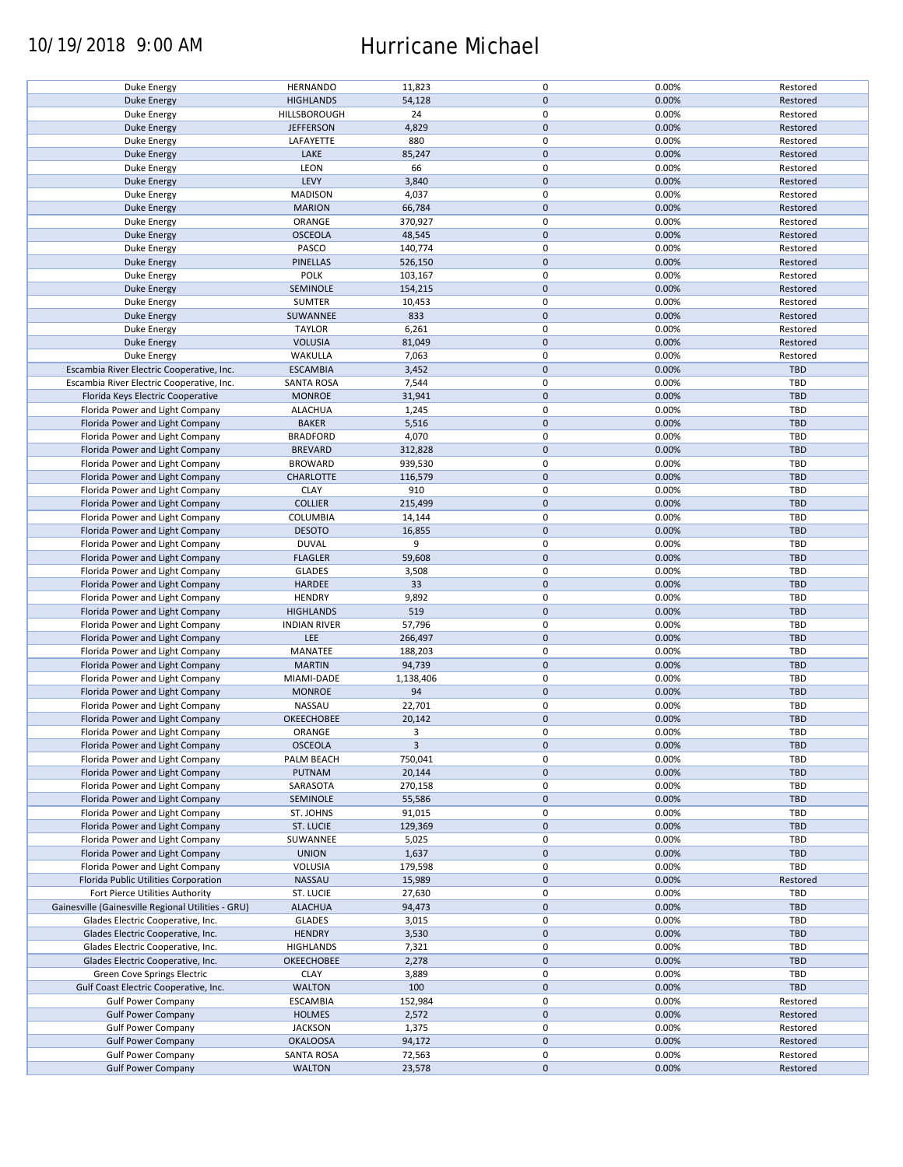### 10/19/2018 9:00 AM Hurricane Michael

| <b>Duke Energy</b>                                 | <b>HERNANDO</b>     | 11,823       | 0           | 0.00% | Restored   |
|----------------------------------------------------|---------------------|--------------|-------------|-------|------------|
| <b>Duke Energy</b>                                 | <b>HIGHLANDS</b>    | 54,128       | $\pmb{0}$   | 0.00% | Restored   |
|                                                    |                     |              |             |       |            |
| Duke Energy                                        | HILLSBOROUGH        | 24           | 0           | 0.00% | Restored   |
| <b>Duke Energy</b>                                 | <b>JEFFERSON</b>    | 4,829        | $\mathbf 0$ | 0.00% | Restored   |
| Duke Energy                                        | LAFAYETTE           | 880          | 0           | 0.00% | Restored   |
|                                                    |                     |              |             |       |            |
| <b>Duke Energy</b>                                 | LAKE                | 85,247       | $\pmb{0}$   | 0.00% | Restored   |
| Duke Energy                                        | LEON                | 66           | 0           | 0.00% | Restored   |
| <b>Duke Energy</b>                                 | LEVY                | 3,840        | $\mathbf 0$ | 0.00% | Restored   |
|                                                    |                     |              |             |       |            |
| Duke Energy                                        | <b>MADISON</b>      | 4,037        | 0           | 0.00% | Restored   |
| <b>Duke Energy</b>                                 | <b>MARION</b>       | 66,784       | $\pmb{0}$   | 0.00% | Restored   |
|                                                    |                     |              |             |       |            |
| Duke Energy                                        | ORANGE              | 370,927      | 0           | 0.00% | Restored   |
| <b>Duke Energy</b>                                 | <b>OSCEOLA</b>      | 48,545       | $\mathbf 0$ | 0.00% | Restored   |
| Duke Energy                                        | PASCO               | 140,774      | $\mathbf 0$ | 0.00% | Restored   |
|                                                    |                     |              | $\mathbf 0$ |       |            |
| <b>Duke Energy</b>                                 | PINELLAS            | 526,150      |             | 0.00% | Restored   |
| Duke Energy                                        | POLK                | 103,167      | $\pmb{0}$   | 0.00% | Restored   |
| <b>Duke Energy</b>                                 | SEMINOLE            | 154,215      | $\pmb{0}$   | 0.00% | Restored   |
|                                                    |                     |              |             |       |            |
| Duke Energy                                        | <b>SUMTER</b>       | 10,453       | 0           | 0.00% | Restored   |
| <b>Duke Energy</b>                                 | SUWANNEE            | 833          | $\mathbf 0$ | 0.00% | Restored   |
| Duke Energy                                        | <b>TAYLOR</b>       | 6,261        | 0           | 0.00% | Restored   |
|                                                    |                     |              |             |       |            |
| <b>Duke Energy</b>                                 | <b>VOLUSIA</b>      | 81,049       | $\mathbf 0$ | 0.00% | Restored   |
| Duke Energy                                        | WAKULLA             | 7,063        | 0           | 0.00% | Restored   |
| Escambia River Electric Cooperative, Inc.          | <b>ESCAMBIA</b>     |              | $\pmb{0}$   | 0.00% | TBD        |
|                                                    |                     | 3,452        |             |       |            |
| Escambia River Electric Cooperative, Inc.          | <b>SANTA ROSA</b>   | 7,544        | 0           | 0.00% | TBD        |
| Florida Keys Electric Cooperative                  | <b>MONROE</b>       | 31,941       | $\pmb{0}$   | 0.00% | TBD        |
|                                                    |                     |              |             |       |            |
| Florida Power and Light Company                    | <b>ALACHUA</b>      | 1,245        | 0           | 0.00% | TBD        |
| Florida Power and Light Company                    | <b>BAKER</b>        | 5,516        | $\pmb{0}$   | 0.00% | <b>TBD</b> |
| Florida Power and Light Company                    | <b>BRADFORD</b>     | 4,070        | 0           | 0.00% | TBD        |
|                                                    |                     |              |             |       |            |
| Florida Power and Light Company                    | <b>BREVARD</b>      | 312,828      | $\pmb{0}$   | 0.00% | <b>TBD</b> |
| Florida Power and Light Company                    | <b>BROWARD</b>      | 939,530      | $\pmb{0}$   | 0.00% | <b>TBD</b> |
| Florida Power and Light Company                    | <b>CHARLOTTE</b>    | 116,579      | $\mathbf 0$ | 0.00% | <b>TBD</b> |
|                                                    |                     |              |             |       |            |
| Florida Power and Light Company                    | <b>CLAY</b>         | 910          | 0           | 0.00% | TBD        |
| Florida Power and Light Company                    | <b>COLLIER</b>      | 215,499      | 0           | 0.00% | <b>TBD</b> |
| Florida Power and Light Company                    | COLUMBIA            |              | 0           | 0.00% | TBD        |
|                                                    |                     | 14,144       |             |       |            |
| Florida Power and Light Company                    | <b>DESOTO</b>       | 16,855       | $\pmb{0}$   | 0.00% | <b>TBD</b> |
| Florida Power and Light Company                    | <b>DUVAL</b>        | 9            | 0           | 0.00% | TBD        |
|                                                    |                     |              |             |       |            |
| Florida Power and Light Company                    | <b>FLAGLER</b>      | 59,608       | $\pmb{0}$   | 0.00% | <b>TBD</b> |
| Florida Power and Light Company                    | <b>GLADES</b>       | 3,508        | 0           | 0.00% | TBD        |
| Florida Power and Light Company                    | HARDEE              | 33           | $\mathbf 0$ | 0.00% | <b>TBD</b> |
|                                                    |                     |              |             |       |            |
| Florida Power and Light Company                    | <b>HENDRY</b>       | 9,892        | $\pmb{0}$   | 0.00% | TBD        |
| Florida Power and Light Company                    | <b>HIGHLANDS</b>    | 519          | $\pmb{0}$   | 0.00% | <b>TBD</b> |
| Florida Power and Light Company                    | <b>INDIAN RIVER</b> | 57,796       | 0           | 0.00% | TBD        |
|                                                    |                     |              |             |       |            |
| Florida Power and Light Company                    | LEE                 | 266,497      | $\pmb{0}$   | 0.00% | <b>TBD</b> |
| Florida Power and Light Company                    | MANATEE             | 188,203      | 0           | 0.00% | <b>TBD</b> |
| Florida Power and Light Company                    | <b>MARTIN</b>       | 94,739       | $\pmb{0}$   | 0.00% | <b>TBD</b> |
|                                                    |                     |              |             |       |            |
| Florida Power and Light Company                    | MIAMI-DADE          | 1,138,406    | 0           | 0.00% | <b>TBD</b> |
| Florida Power and Light Company                    | <b>MONROE</b>       | 94           | $\pmb{0}$   | 0.00% | <b>TBD</b> |
|                                                    |                     |              |             |       |            |
| Florida Power and Light Company                    | NASSAU              | 22,701       | 0           | 0.00% | <b>TBD</b> |
| Florida Power and Light Company                    | OKEECHOBEE          | 20,142       | $\mathbf 0$ | 0.00% | <b>TBD</b> |
| Florida Power and Light Company                    | ORANGE              | 3            | $\mathbf 0$ | 0.00% | TBD        |
|                                                    |                     |              |             |       |            |
| Florida Power and Light Company                    | <b>OSCEOLA</b>      | $\mathbf{3}$ | $\pmb{0}$   | 0.00% | <b>TBD</b> |
| Florida Power and Light Company                    | PALM BEACH          | 750,041      | 0           | 0.00% | TBD        |
| Florida Power and Light Company                    | PUTNAM              | 20,144       | $\pmb{0}$   | 0.00% | TBD        |
|                                                    |                     |              |             |       |            |
| Florida Power and Light Company                    | SARASOTA            | 270,158      | 0           | 0.00% | TBD        |
| Florida Power and Light Company                    | SEMINOLE            | 55,586       | 0           | 0.00% | <b>TBD</b> |
| Florida Power and Light Company                    | ST. JOHNS           | 91,015       | 0           | 0.00% | TBD        |
|                                                    |                     |              |             |       |            |
| Florida Power and Light Company                    | ST. LUCIE           | 129,369      | $\pmb{0}$   | 0.00% | <b>TBD</b> |
| Florida Power and Light Company                    | SUWANNEE            | 5,025        | 0           | 0.00% | TBD        |
|                                                    |                     |              | $\pmb{0}$   |       | <b>TBD</b> |
| Florida Power and Light Company                    | <b>UNION</b>        | 1,637        |             | 0.00% |            |
| Florida Power and Light Company                    | VOLUSIA             | 179,598      | 0           | 0.00% | TBD        |
| Florida Public Utilities Corporation               | NASSAU              | 15,989       | $\pmb{0}$   | 0.00% | Restored   |
|                                                    |                     |              |             |       |            |
| Fort Pierce Utilities Authority                    | ST. LUCIE           | 27,630       | 0           | 0.00% | TBD        |
| Gainesville (Gainesville Regional Utilities - GRU) | <b>ALACHUA</b>      | 94,473       | $\pmb{0}$   | 0.00% | <b>TBD</b> |
| Glades Electric Cooperative, Inc.                  | <b>GLADES</b>       | 3,015        | $\pmb{0}$   | 0.00% | TBD        |
|                                                    |                     |              |             |       |            |
| Glades Electric Cooperative, Inc.                  | <b>HENDRY</b>       | 3,530        | $\pmb{0}$   | 0.00% | <b>TBD</b> |
| Glades Electric Cooperative, Inc.                  | <b>HIGHLANDS</b>    | 7,321        | $\pmb{0}$   | 0.00% | TBD        |
|                                                    |                     |              | $\pmb{0}$   |       | <b>TBD</b> |
| Glades Electric Cooperative, Inc.                  | OKEECHOBEE          | 2,278        |             | 0.00% |            |
| Green Cove Springs Electric                        | <b>CLAY</b>         | 3,889        | 0           | 0.00% | <b>TBD</b> |
| Gulf Coast Electric Cooperative, Inc.              | <b>WALTON</b>       | 100          | $\pmb{0}$   | 0.00% | TBD        |
|                                                    |                     |              | $\mathbf 0$ |       |            |
| <b>Gulf Power Company</b>                          | <b>ESCAMBIA</b>     | 152,984      |             | 0.00% | Restored   |
| <b>Gulf Power Company</b>                          | <b>HOLMES</b>       | 2,572        | $\pmb{0}$   | 0.00% | Restored   |
| <b>Gulf Power Company</b>                          | <b>JACKSON</b>      | 1,375        | 0           | 0.00% | Restored   |
|                                                    |                     |              |             |       |            |
| <b>Gulf Power Company</b>                          | <b>OKALOOSA</b>     | 94,172       | $\pmb{0}$   | 0.00% | Restored   |
| <b>Gulf Power Company</b>                          | SANTA ROSA          | 72,563       | 0           | 0.00% | Restored   |
| <b>Gulf Power Company</b>                          | <b>WALTON</b>       | 23,578       | $\pmb{0}$   | 0.00% | Restored   |
|                                                    |                     |              |             |       |            |